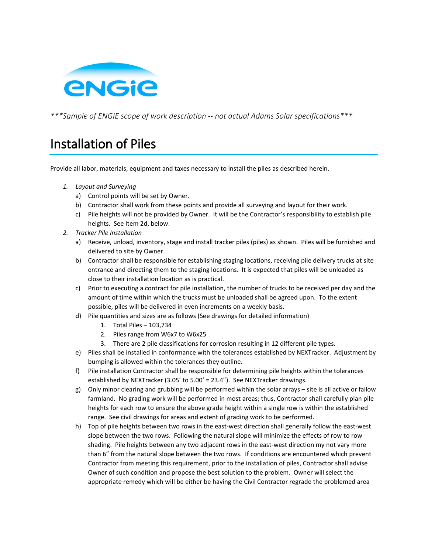

*\*\*\*Sample of ENGIE scope of work description -- not actual Adams Solar specifications\*\*\**

## Installation of Piles

Provide all labor, materials, equipment and taxes necessary to install the piles as described herein.

- *1. Layout and Surveying*
	- a) Control points will be set by Owner.
	- b) Contractor shall work from these points and provide all surveying and layout for their work.
	- c) Pile heights will not be provided by Owner. It will be the Contractor's responsibility to establish pile heights. See Item 2d, below.
- *2. Tracker Pile Installation*
	- a) Receive, unload, inventory, stage and install tracker piles (piles) as shown. Piles will be furnished and delivered to site by Owner.
	- b) Contractor shall be responsible for establishing staging locations, receiving pile delivery trucks at site entrance and directing them to the staging locations. It is expected that piles will be unloaded as close to their installation location as is practical.
	- c) Prior to executing a contract for pile installation, the number of trucks to be received per day and the amount of time within which the trucks must be unloaded shall be agreed upon. To the extent possible, piles will be delivered in even increments on a weekly basis.
	- d) Pile quantities and sizes are as follows (See drawings for detailed information)
		- 1. Total Piles 103,734
		- 2. Piles range from W6x7 to W6x25
		- 3. There are 2 pile classifications for corrosion resulting in 12 different pile types.
	- e) Piles shall be installed in conformance with the tolerances established by NEXTracker. Adjustment by bumping is allowed within the tolerances they outline.
	- f) Pile installation Contractor shall be responsible for determining pile heights within the tolerances established by NEXTracker (3.05' to 5.00' = 23.4"). See NEXTracker drawings.
	- g) Only minor clearing and grubbing will be performed within the solar arrays site is all active or fallow farmland. No grading work will be performed in most areas; thus, Contractor shall carefully plan pile heights for each row to ensure the above grade height within a single row is within the established range. See civil drawings for areas and extent of grading work to be performed.
	- h) Top of pile heights between two rows in the east-west direction shall generally follow the east-west slope between the two rows. Following the natural slope will minimize the effects of row to row shading. Pile heights between any two adjacent rows in the east-west direction my not vary more than 6" from the natural slope between the two rows. If conditions are encountered which prevent Contractor from meeting this requirement, prior to the installation of piles, Contractor shall advise Owner of such condition and propose the best solution to the problem. Owner will select the appropriate remedy which will be either be having the Civil Contractor regrade the problemed area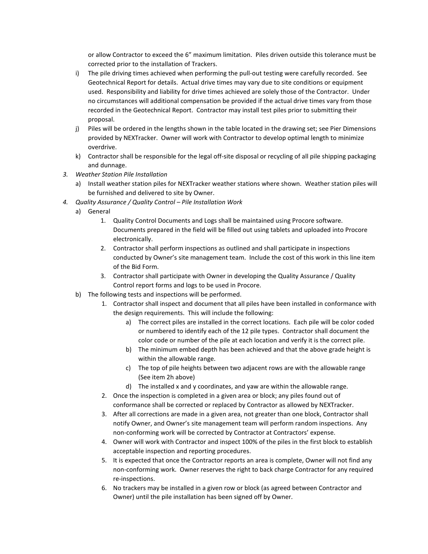or allow Contractor to exceed the 6" maximum limitation. Piles driven outside this tolerance must be corrected prior to the installation of Trackers.

- i) The pile driving times achieved when performing the pull-out testing were carefully recorded. See Geotechnical Report for details. Actual drive times may vary due to site conditions or equipment used. Responsibility and liability for drive times achieved are solely those of the Contractor. Under no circumstances will additional compensation be provided if the actual drive times vary from those recorded in the Geotechnical Report. Contractor may install test piles prior to submitting their proposal.
- j) Piles will be ordered in the lengths shown in the table located in the drawing set; see Pier Dimensions provided by NEXTracker. Owner will work with Contractor to develop optimal length to minimize overdrive.
- k) Contractor shall be responsible for the legal off-site disposal or recycling of all pile shipping packaging and dunnage.
- *3. Weather Station Pile Installation*
	- a) Install weather station piles for NEXTracker weather stations where shown. Weather station piles will be furnished and delivered to site by Owner.
- *4. Quality Assurance / Quality Control – Pile Installation Work*
	- a) General
		- 1. Quality Control Documents and Logs shall be maintained using Procore software. Documents prepared in the field will be filled out using tablets and uploaded into Procore electronically.
		- 2. Contractor shall perform inspections as outlined and shall participate in inspections conducted by Owner's site management team. Include the cost of this work in this line item of the Bid Form.
		- 3. Contractor shall participate with Owner in developing the Quality Assurance / Quality Control report forms and logs to be used in Procore.
	- b) The following tests and inspections will be performed.
		- 1. Contractor shall inspect and document that all piles have been installed in conformance with the design requirements. This will include the following:
			- a) The correct piles are installed in the correct locations. Each pile will be color coded or numbered to identify each of the 12 pile types. Contractor shall document the color code or number of the pile at each location and verify it is the correct pile.
			- b) The minimum embed depth has been achieved and that the above grade height is within the allowable range.
			- c) The top of pile heights between two adjacent rows are with the allowable range (See item 2h above)
			- d) The installed x and y coordinates, and yaw are within the allowable range.
		- 2. Once the inspection is completed in a given area or block; any piles found out of conformance shall be corrected or replaced by Contractor as allowed by NEXTracker.
		- 3. After all corrections are made in a given area, not greater than one block, Contractor shall notify Owner, and Owner's site management team will perform random inspections. Any non-conforming work will be corrected by Contractor at Contractors' expense.
		- 4. Owner will work with Contractor and inspect 100% of the piles in the first block to establish acceptable inspection and reporting procedures.
		- 5. It is expected that once the Contractor reports an area is complete, Owner will not find any non-conforming work. Owner reserves the right to back charge Contractor for any required re-inspections.
		- 6. No trackers may be installed in a given row or block (as agreed between Contractor and Owner) until the pile installation has been signed off by Owner.